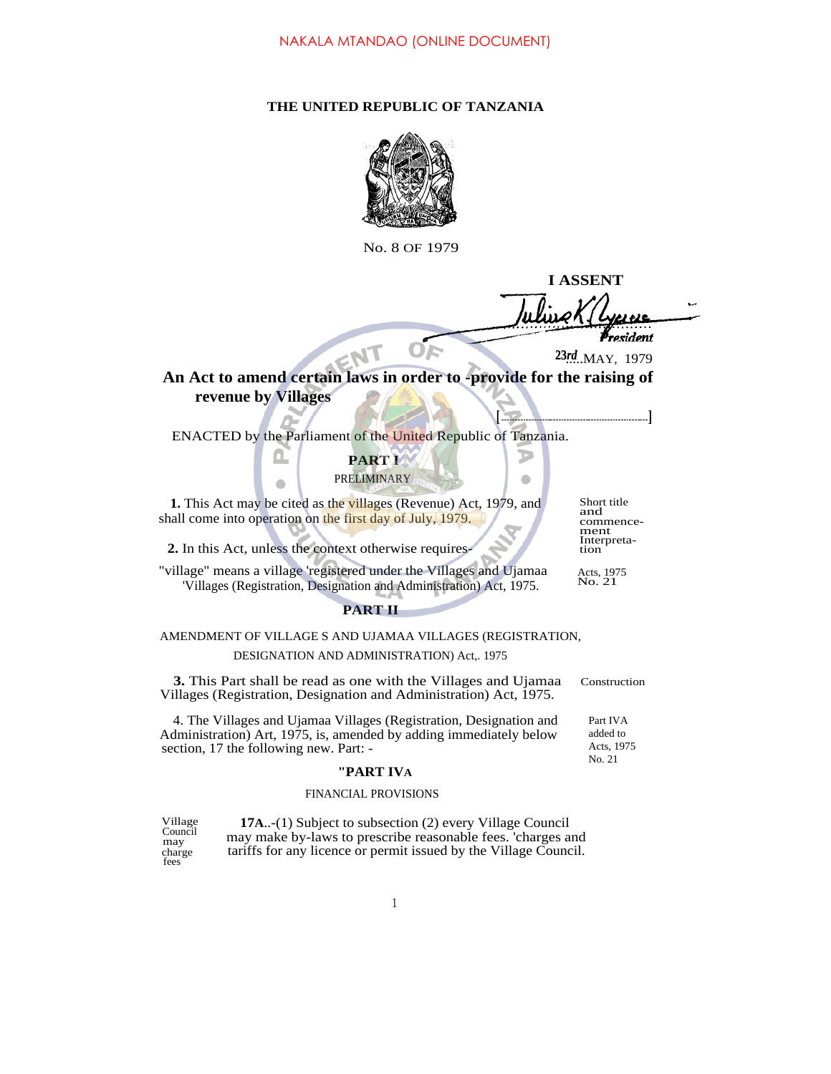### **THE UNITED REPUBLIC OF TANZANIA**



No. 8 OF 1979

**I ASSENT** ulizek resident

**[ ]**

Þ  $\bullet$ 

.....MAY, 1979 **23***rd*

# **An Act to amend certain laws in order to -provide for the raising of revenue by Villages**

ENACTED by the Parliament of the United Republic of Tanzania.

**PART I** PRELIMINARY

**1.** This Act may be cited as the villages (Revenue) Act, 1979, and shall come into operation on the first day of July, 1979.

**2.** In this Act, unless the context otherwise requires-

"village" means a village 'registered under the Villages and Ujamaa 'Villages (Registration, Designation and Administration) Act, 1975.

**PART II**

## AMENDMENT OF VILLAGE S AND UJAMAA VILLAGES (REGISTRATION, DESIGNATION AND ADMINISTRATION) Act,. 1975

**3.** This Part shall be read as one with the Villages and Ujamaa Construction Villages (Registration, Designation and Administration) Act, 1975.

4. The Villages and Ujamaa Villages (Registration, Designation and Administration) Art, 1975, is, amended by adding immediately below section, 17 the following new. Part: -

#### **"PART IVA**

## FINANCIAL PROVISIONS

Village **17A**..-(1) Subject to subsection (2) every Village Council may make by-laws to prescribe reasonable fees. 'charges and tariffs for any licence or permit issued by the Village Council. **Council** may charge fees

Short title and commencement Interpretation

Acts, 1975 No. 21

Part IVA added to Acts, 1975 No. 21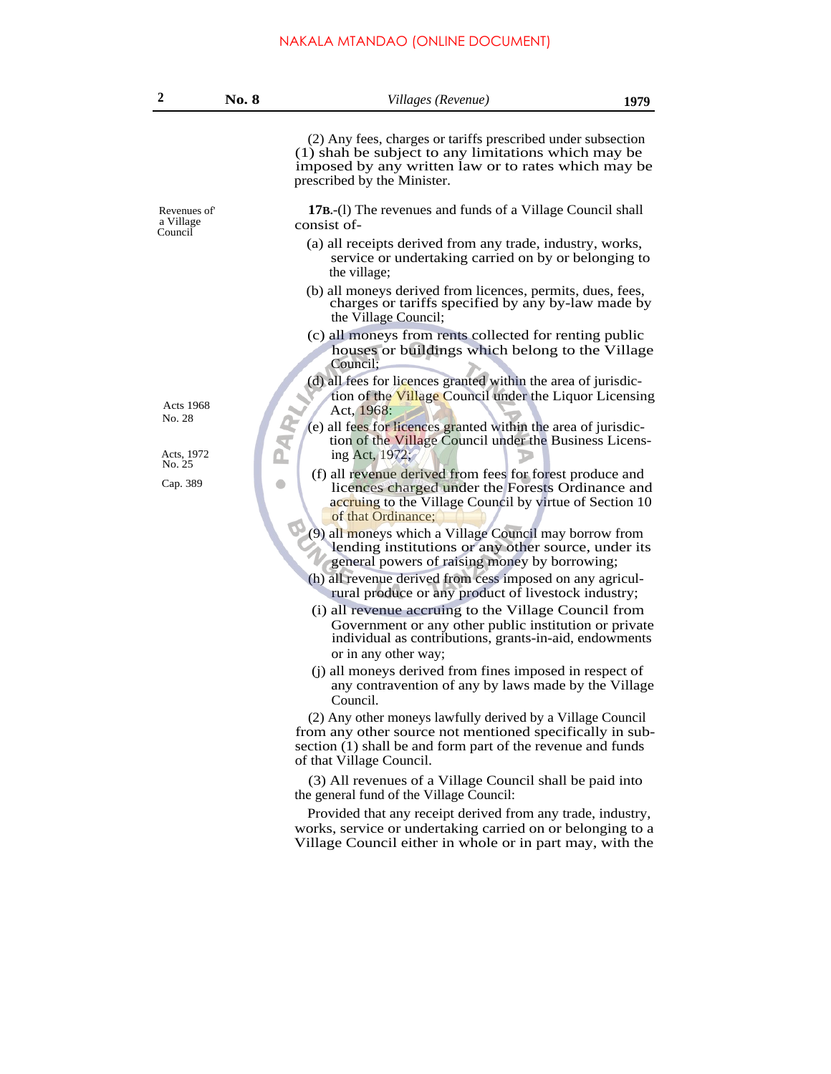# NAKALA MTANDAO (ONLINE DOCUMENT)

| $\overline{2}$                      | No. 8 | Villages (Revenue)                                                                                                                                                                                                | 1979 |
|-------------------------------------|-------|-------------------------------------------------------------------------------------------------------------------------------------------------------------------------------------------------------------------|------|
|                                     |       | (2) Any fees, charges or tariffs prescribed under subsection<br>(1) shah be subject to any limitations which may be<br>imposed by any written law or to rates which may be<br>prescribed by the Minister.         |      |
| Revenues of<br>a Village<br>Council |       | <b>17B.</b> -(I) The revenues and funds of a Village Council shall<br>consist of-                                                                                                                                 |      |
|                                     |       | (a) all receipts derived from any trade, industry, works,<br>service or undertaking carried on by or belonging to<br>the village;                                                                                 |      |
|                                     |       | (b) all moneys derived from licences, permits, dues, fees,<br>charges or tariffs specified by any by-law made by<br>the Village Council;                                                                          |      |
|                                     |       | (c) all moneys from rents collected for renting public<br>houses or buildings which belong to the Village<br>Council:                                                                                             |      |
| <b>Acts 1968</b><br>No. 28          |       | (d) all fees for licences granted within the area of jurisdic-<br>tion of the Village Council under the Liquor Licensing<br>Act, 1968:                                                                            |      |
| Acts, 1972<br>No. 25<br>Cap. 389    |       | PAR <sub>I</sub><br>(e) all fees for licences granted within the area of jurisdic-<br>tion of the Village Council under the Business Licens-<br>ing Act, 1972;                                                    |      |
|                                     |       | (f) all revenue derived from fees for forest produce and<br>licences charged under the Forests Ordinance and<br>accruing to the Village Council by virtue of Section 10<br>of that Ordinance;                     |      |
|                                     |       | (9) all moneys which a Village Council may borrow from<br>lending institutions or any other source, under its<br>general powers of raising money by borrowing;                                                    |      |
|                                     |       | (h) all revenue derived from cess imposed on any agricul-<br>rural produce or any product of livestock industry;                                                                                                  |      |
|                                     |       | (i) all revenue accruing to the Village Council from<br>Government or any other public institution or private<br>individual as contributions, grants-in-aid, endowments                                           |      |
|                                     |       | or in any other way;<br>(j) all moneys derived from fines imposed in respect of<br>any contravention of any by laws made by the Village<br>Council.                                                               |      |
|                                     |       | (2) Any other moneys lawfully derived by a Village Council<br>from any other source not mentioned specifically in sub-<br>section (1) shall be and form part of the revenue and funds<br>of that Village Council. |      |
|                                     |       | (3) All revenues of a Village Council shall be paid into<br>the general fund of the Village Council:                                                                                                              |      |
|                                     |       | Provided that any receipt derived from any trade, industry,<br>works, service or undertaking carried on or belonging to a<br>Village Council either in whole or in part may, with the                             |      |